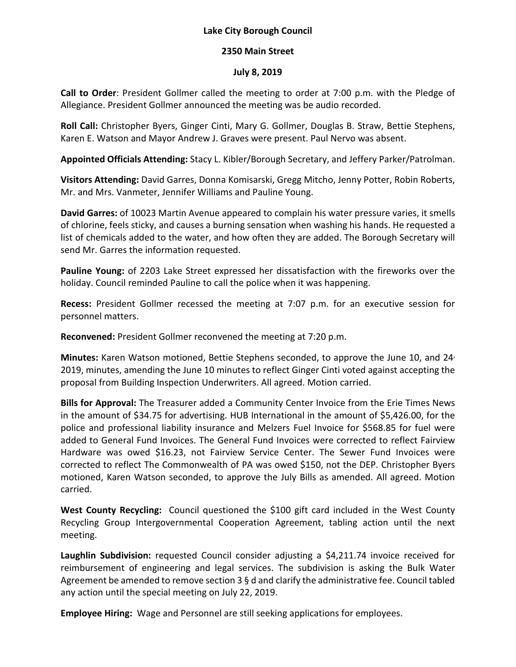## **Lake City Borough Council**

## **2350 Main Street**

## **July 8, 2019**

**Call to Order**: President Gollmer called the meeting to order at 7:00 p.m. with the Pledge of Allegiance. President Gollmer announced the meeting was be audio recorded.

**Roll Call:** Christopher Byers, Ginger Cinti, Mary G. Gollmer, Douglas B. Straw, Bettie Stephens, Karen E. Watson and Mayor Andrew J. Graves were present. Paul Nervo was absent.

**Appointed Officials Attending:** Stacy L. Kibler/Borough Secretary, and Jeffery Parker/Patrolman.

**Visitors Attending:** David Garres, Donna Komisarski, Gregg Mitcho, Jenny Potter, Robin Roberts, Mr. and Mrs. Vanmeter, Jennifer Williams and Pauline Young.

**David Garres:** of 10023 Martin Avenue appeared to complain his water pressure varies, it smells of chlorine, feels sticky, and causes a burning sensation when washing his hands. He requested a list of chemicals added to the water, and how often they are added. The Borough Secretary will send Mr. Garres the information requested.

**Pauline Young:** of 2203 Lake Street expressed her dissatisfaction with the fireworks over the holiday. Council reminded Pauline to call the police when it was happening.

**Recess:** President Gollmer recessed the meeting at 7:07 p.m. for an executive session for personnel matters.

**Reconvened:** President Gollmer reconvened the meeting at 7:20 p.m.

**Minutes:** Karen Watson motioned, Bettie Stephens seconded, to approve the June 10, and 24, 2019, minutes, amending the June 10 minutes to reflect Ginger Cinti voted against accepting the proposal from Building Inspection Underwriters. All agreed. Motion carried.

**Bills for Approval:** The Treasurer added a Community Center Invoice from the Erie Times News in the amount of \$34.75 for advertising. HUB International in the amount of \$5,426.00, for the police and professional liability insurance and Melzers Fuel Invoice for \$568.85 for fuel were added to General Fund Invoices. The General Fund Invoices were corrected to reflect Fairview Hardware was owed \$16.23, not Fairview Service Center. The Sewer Fund Invoices were corrected to reflect The Commonwealth of PA was owed \$150, not the DEP. Christopher Byers motioned, Karen Watson seconded, to approve the July Bills as amended. All agreed. Motion carried.

**West County Recycling:** Council questioned the \$100 gift card included in the West County Recycling Group Intergovernmental Cooperation Agreement, tabling action until the next meeting.

Laughlin Subdivision: requested Council consider adjusting a \$4,211.74 invoice received for reimbursement of engineering and legal services. The subdivision is asking the Bulk Water Agreement be amended to remove section  $3 \xi$  d and clarify the administrative fee. Council tabled any action until the special meeting on July 22, 2019.

**Employee Hiring:** Wage and Personnel are still seeking applications for employees.